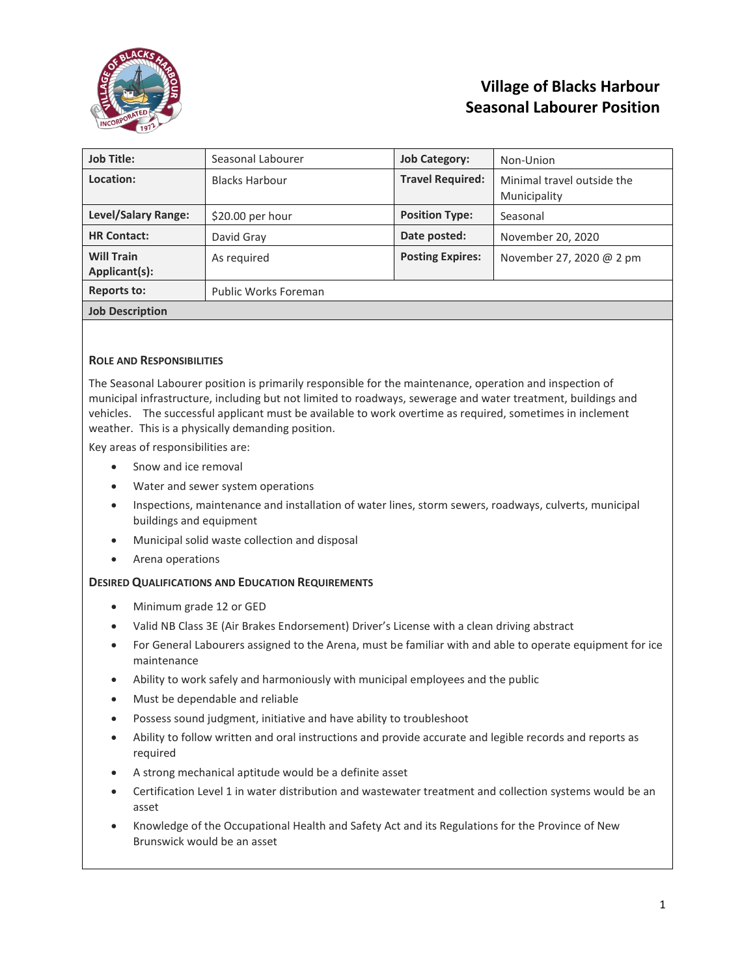

## **Village of Blacks Harbour Seasonal Labourer Position**

| <b>Job Title:</b>                  | Seasonal Labourer     | <b>Job Category:</b>    | Non-Union                                  |  |
|------------------------------------|-----------------------|-------------------------|--------------------------------------------|--|
| Location:                          | <b>Blacks Harbour</b> | <b>Travel Required:</b> | Minimal travel outside the<br>Municipality |  |
| <b>Level/Salary Range:</b>         | $$20.00$ per hour     | <b>Position Type:</b>   | Seasonal                                   |  |
| <b>HR Contact:</b>                 | David Gray            | Date posted:            | November 20, 2020                          |  |
| <b>Will Train</b><br>Applicant(s): | As required           | <b>Posting Expires:</b> | November 27, 2020 @ 2 pm                   |  |
| <b>Reports to:</b>                 | Public Works Foreman  |                         |                                            |  |
| <b>Job Description</b>             |                       |                         |                                            |  |

## **ROLE AND RESPONSIBILITIES**

The Seasonal Labourer position is primarily responsible for the maintenance, operation and inspection of municipal infrastructure, including but not limited to roadways, sewerage and water treatment, buildings and vehicles. The successful applicant must be available to work overtime as required, sometimes in inclement weather. This is a physically demanding position.

Key areas of responsibilities are:

- Snow and ice removal
- Water and sewer system operations
- Inspections, maintenance and installation of water lines, storm sewers, roadways, culverts, municipal buildings and equipment
- Municipal solid waste collection and disposal
- Arena operations

## **DESIRED QUALIFICATIONS AND EDUCATION REQUIREMENTS**

- Minimum grade 12 or GED
- Valid NB Class 3E (Air Brakes Endorsement) Driver's License with a clean driving abstract
- For General Labourers assigned to the Arena, must be familiar with and able to operate equipment for ice maintenance
- Ability to work safely and harmoniously with municipal employees and the public
- Must be dependable and reliable
- Possess sound judgment, initiative and have ability to troubleshoot
- Ability to follow written and oral instructions and provide accurate and legible records and reports as required
- A strong mechanical aptitude would be a definite asset
- Certification Level 1 in water distribution and wastewater treatment and collection systems would be an asset
- Knowledge of the Occupational Health and Safety Act and its Regulations for the Province of New Brunswick would be an asset